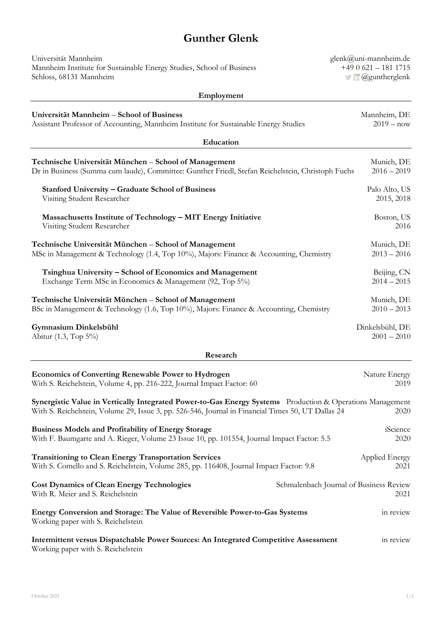## **Gunther Glenk**

**Employment**

| Universität Mannheim                                                  |
|-----------------------------------------------------------------------|
| Mannheim Institute for Sustainable Energy Studies, School of Business |
| Schloss, 68131 Mannheim                                               |

[glenk@uni-mannheim.de](mailto:glenk@uni-mannheim.de) +49 0 621 – 181 1715 **Communist Communist Communist Communist Communist Communist Communist Communist Communist Communist Communist Communist Communist Communist Communist Communist Communist Communist Communist Communist Communist Communist C** 

| Universität Mannheim - School of Business                                                                                                                                                                       | Mannheim, DE    |  |
|-----------------------------------------------------------------------------------------------------------------------------------------------------------------------------------------------------------------|-----------------|--|
| Assistant Professor of Accounting, Mannheim Institute for Sustainable Energy Studies                                                                                                                            | $2019 - now$    |  |
| Education                                                                                                                                                                                                       |                 |  |
| Technische Universität München – School of Management                                                                                                                                                           | Munich, DE      |  |
| Dr in Business (Summa cum laude), Committee: Gunther Friedl, Stefan Reichelstein, Christoph Fuchs                                                                                                               | $2016 - 2019$   |  |
| <b>Stanford University - Graduate School of Business</b>                                                                                                                                                        | Palo Alto, US   |  |
| Visiting Student Researcher                                                                                                                                                                                     | 2015, 2018      |  |
| Massachusetts Institute of Technology - MIT Energy Initiative                                                                                                                                                   | Boston, US      |  |
| Visiting Student Researcher                                                                                                                                                                                     | 2016            |  |
| Technische Universität München - School of Management                                                                                                                                                           | Munich, DE      |  |
| MSc in Management & Technology (1.4, Top 10%), Majors: Finance & Accounting, Chemistry                                                                                                                          | $2013 - 2016$   |  |
| Tsinghua University - School of Economics and Management                                                                                                                                                        | Beijing, CN     |  |
| Exchange Term MSc in Economics & Management (92, Top 5%)                                                                                                                                                        | $2014 - 2015$   |  |
| Technische Universität München - School of Management                                                                                                                                                           | Munich, DE      |  |
| BSc in Management & Technology (1.6, Top 10%), Majors: Finance & Accounting, Chemistry                                                                                                                          | $2010 - 2013$   |  |
| Gymnasium Dinkelsbühl                                                                                                                                                                                           | Dinkelsbühl, DE |  |
| Abitur (1.3, Top 5%)                                                                                                                                                                                            | $2001 - 2010$   |  |
| Research                                                                                                                                                                                                        |                 |  |
| <b>Economics of Converting Renewable Power to Hydrogen</b>                                                                                                                                                      | Nature Energy   |  |
| With S. Reichelstein, Volume 4, pp. 216-222, Journal Impact Factor: 60                                                                                                                                          | 2019            |  |
| Synergistic Value in Vertically Integrated Power-to-Gas Energy Systems Production & Operations Management<br>With S. Reichelstein, Volume 29, Issue 3, pp. 526-546, Journal in Financial Times 50, UT Dallas 24 | 2020            |  |
| <b>Business Models and Profitability of Energy Storage</b>                                                                                                                                                      | iScience        |  |
| With F. Baumgarte and A. Rieger, Volume 23 Issue 10, pp. 101554, Journal Impact Factor: 5.5                                                                                                                     | 2020            |  |
| <b>Transitioning to Clean Energy Transportation Services</b>                                                                                                                                                    | Applied Energy  |  |
| With S. Comello and S. Reichelstein, Volume 285, pp. 116408, Journal Impact Factor: 9.8                                                                                                                         | 2021            |  |
| <b>Cost Dynamics of Clean Energy Technologies</b><br>Schmalenbach Journal of Business Review<br>With R. Meier and S. Reichelstein                                                                               | 2021            |  |
| Energy Conversion and Storage: The Value of Reversible Power-to-Gas Systems<br>Working paper with S. Reichelstein                                                                                               | in review       |  |
| Intermittent versus Dispatchable Power Sources: An Integrated Competitive Assessment<br>Working paper with S. Reichelstein                                                                                      | in review       |  |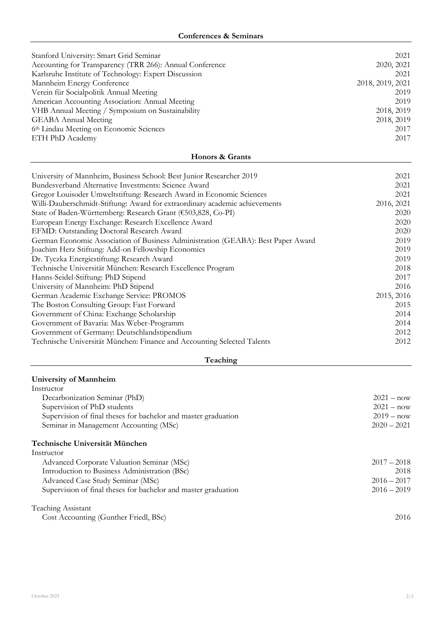## **Conferences & Seminars**

| Stanford University: Smart Grid Seminar<br>2021<br>Accounting for Transparency (TRR 266): Annual Conference<br>2020, 2021<br>Karlsruhe Institute of Technology: Expert Discussion<br>2021<br>Mannheim Energy Conference<br>2018, 2019, 2021<br>Verein für Socialpolitik Annual Meeting<br>2019<br>American Accounting Association: Annual Meeting<br>2019<br>VHB Annual Meeting / Symposium on Sustainability<br>2018, 2019<br><b>GEABA Annual Meeting</b><br>2018, 2019<br>6th Lindau Meeting on Economic Sciences<br>2017<br>ETH PhD Academy<br>2017<br>Honors & Grants<br>University of Mannheim, Business School: Best Junior Researcher 2019<br>2021<br>Bundesverband Alternative Investments: Science Award<br>2021<br>Gregor Louisoder Umweltstiftung: Research Award in Economic Sciences<br>2021<br>Willi-Dauberschmidt-Stiftung: Award for extraordinary academic achievements<br>2016, 2021<br>State of Baden-Württemberg: Research Grant (€503,828, Co-PI)<br>2020<br>European Energy Exchange: Research Excellence Award<br>2020<br>EFMD: Outstanding Doctoral Research Award<br>2020<br>German Economic Association of Business Administration (GEABA): Best Paper Award<br>2019<br>Joachim Herz Stiftung: Add-on Fellowship Economics<br>2019<br>Dr. Tyczka Energiestiftung: Research Award<br>2019<br>Technische Universität München: Research Excellence Program<br>2018<br>Hanns-Seidel-Stiftung: PhD Stipend<br>2017<br>University of Mannheim: PhD Stipend<br>2016<br>German Academic Exchange Service: PROMOS<br>2015, 2016<br>The Boston Consulting Group: Fast Forward<br>2015 |                                           |      |
|-------------------------------------------------------------------------------------------------------------------------------------------------------------------------------------------------------------------------------------------------------------------------------------------------------------------------------------------------------------------------------------------------------------------------------------------------------------------------------------------------------------------------------------------------------------------------------------------------------------------------------------------------------------------------------------------------------------------------------------------------------------------------------------------------------------------------------------------------------------------------------------------------------------------------------------------------------------------------------------------------------------------------------------------------------------------------------------------------------------------------------------------------------------------------------------------------------------------------------------------------------------------------------------------------------------------------------------------------------------------------------------------------------------------------------------------------------------------------------------------------------------------------------------------------------------------------------------------------------|-------------------------------------------|------|
|                                                                                                                                                                                                                                                                                                                                                                                                                                                                                                                                                                                                                                                                                                                                                                                                                                                                                                                                                                                                                                                                                                                                                                                                                                                                                                                                                                                                                                                                                                                                                                                                       |                                           |      |
|                                                                                                                                                                                                                                                                                                                                                                                                                                                                                                                                                                                                                                                                                                                                                                                                                                                                                                                                                                                                                                                                                                                                                                                                                                                                                                                                                                                                                                                                                                                                                                                                       |                                           |      |
|                                                                                                                                                                                                                                                                                                                                                                                                                                                                                                                                                                                                                                                                                                                                                                                                                                                                                                                                                                                                                                                                                                                                                                                                                                                                                                                                                                                                                                                                                                                                                                                                       |                                           |      |
|                                                                                                                                                                                                                                                                                                                                                                                                                                                                                                                                                                                                                                                                                                                                                                                                                                                                                                                                                                                                                                                                                                                                                                                                                                                                                                                                                                                                                                                                                                                                                                                                       |                                           |      |
|                                                                                                                                                                                                                                                                                                                                                                                                                                                                                                                                                                                                                                                                                                                                                                                                                                                                                                                                                                                                                                                                                                                                                                                                                                                                                                                                                                                                                                                                                                                                                                                                       |                                           |      |
|                                                                                                                                                                                                                                                                                                                                                                                                                                                                                                                                                                                                                                                                                                                                                                                                                                                                                                                                                                                                                                                                                                                                                                                                                                                                                                                                                                                                                                                                                                                                                                                                       |                                           |      |
|                                                                                                                                                                                                                                                                                                                                                                                                                                                                                                                                                                                                                                                                                                                                                                                                                                                                                                                                                                                                                                                                                                                                                                                                                                                                                                                                                                                                                                                                                                                                                                                                       |                                           |      |
|                                                                                                                                                                                                                                                                                                                                                                                                                                                                                                                                                                                                                                                                                                                                                                                                                                                                                                                                                                                                                                                                                                                                                                                                                                                                                                                                                                                                                                                                                                                                                                                                       |                                           |      |
|                                                                                                                                                                                                                                                                                                                                                                                                                                                                                                                                                                                                                                                                                                                                                                                                                                                                                                                                                                                                                                                                                                                                                                                                                                                                                                                                                                                                                                                                                                                                                                                                       |                                           |      |
|                                                                                                                                                                                                                                                                                                                                                                                                                                                                                                                                                                                                                                                                                                                                                                                                                                                                                                                                                                                                                                                                                                                                                                                                                                                                                                                                                                                                                                                                                                                                                                                                       |                                           |      |
|                                                                                                                                                                                                                                                                                                                                                                                                                                                                                                                                                                                                                                                                                                                                                                                                                                                                                                                                                                                                                                                                                                                                                                                                                                                                                                                                                                                                                                                                                                                                                                                                       |                                           |      |
|                                                                                                                                                                                                                                                                                                                                                                                                                                                                                                                                                                                                                                                                                                                                                                                                                                                                                                                                                                                                                                                                                                                                                                                                                                                                                                                                                                                                                                                                                                                                                                                                       |                                           |      |
|                                                                                                                                                                                                                                                                                                                                                                                                                                                                                                                                                                                                                                                                                                                                                                                                                                                                                                                                                                                                                                                                                                                                                                                                                                                                                                                                                                                                                                                                                                                                                                                                       |                                           |      |
|                                                                                                                                                                                                                                                                                                                                                                                                                                                                                                                                                                                                                                                                                                                                                                                                                                                                                                                                                                                                                                                                                                                                                                                                                                                                                                                                                                                                                                                                                                                                                                                                       |                                           |      |
|                                                                                                                                                                                                                                                                                                                                                                                                                                                                                                                                                                                                                                                                                                                                                                                                                                                                                                                                                                                                                                                                                                                                                                                                                                                                                                                                                                                                                                                                                                                                                                                                       |                                           |      |
|                                                                                                                                                                                                                                                                                                                                                                                                                                                                                                                                                                                                                                                                                                                                                                                                                                                                                                                                                                                                                                                                                                                                                                                                                                                                                                                                                                                                                                                                                                                                                                                                       |                                           |      |
|                                                                                                                                                                                                                                                                                                                                                                                                                                                                                                                                                                                                                                                                                                                                                                                                                                                                                                                                                                                                                                                                                                                                                                                                                                                                                                                                                                                                                                                                                                                                                                                                       |                                           |      |
|                                                                                                                                                                                                                                                                                                                                                                                                                                                                                                                                                                                                                                                                                                                                                                                                                                                                                                                                                                                                                                                                                                                                                                                                                                                                                                                                                                                                                                                                                                                                                                                                       |                                           |      |
|                                                                                                                                                                                                                                                                                                                                                                                                                                                                                                                                                                                                                                                                                                                                                                                                                                                                                                                                                                                                                                                                                                                                                                                                                                                                                                                                                                                                                                                                                                                                                                                                       |                                           |      |
|                                                                                                                                                                                                                                                                                                                                                                                                                                                                                                                                                                                                                                                                                                                                                                                                                                                                                                                                                                                                                                                                                                                                                                                                                                                                                                                                                                                                                                                                                                                                                                                                       |                                           |      |
|                                                                                                                                                                                                                                                                                                                                                                                                                                                                                                                                                                                                                                                                                                                                                                                                                                                                                                                                                                                                                                                                                                                                                                                                                                                                                                                                                                                                                                                                                                                                                                                                       |                                           |      |
|                                                                                                                                                                                                                                                                                                                                                                                                                                                                                                                                                                                                                                                                                                                                                                                                                                                                                                                                                                                                                                                                                                                                                                                                                                                                                                                                                                                                                                                                                                                                                                                                       |                                           |      |
|                                                                                                                                                                                                                                                                                                                                                                                                                                                                                                                                                                                                                                                                                                                                                                                                                                                                                                                                                                                                                                                                                                                                                                                                                                                                                                                                                                                                                                                                                                                                                                                                       |                                           |      |
|                                                                                                                                                                                                                                                                                                                                                                                                                                                                                                                                                                                                                                                                                                                                                                                                                                                                                                                                                                                                                                                                                                                                                                                                                                                                                                                                                                                                                                                                                                                                                                                                       |                                           |      |
|                                                                                                                                                                                                                                                                                                                                                                                                                                                                                                                                                                                                                                                                                                                                                                                                                                                                                                                                                                                                                                                                                                                                                                                                                                                                                                                                                                                                                                                                                                                                                                                                       |                                           |      |
|                                                                                                                                                                                                                                                                                                                                                                                                                                                                                                                                                                                                                                                                                                                                                                                                                                                                                                                                                                                                                                                                                                                                                                                                                                                                                                                                                                                                                                                                                                                                                                                                       |                                           |      |
|                                                                                                                                                                                                                                                                                                                                                                                                                                                                                                                                                                                                                                                                                                                                                                                                                                                                                                                                                                                                                                                                                                                                                                                                                                                                                                                                                                                                                                                                                                                                                                                                       | Government of China: Exchange Scholarship | 2014 |
| 2014                                                                                                                                                                                                                                                                                                                                                                                                                                                                                                                                                                                                                                                                                                                                                                                                                                                                                                                                                                                                                                                                                                                                                                                                                                                                                                                                                                                                                                                                                                                                                                                                  | Government of Bavaria: Max Weber-Programm |      |

## **Teaching**

Government of Germany: Deutschlandstipendium 2012<br>Technische Universität München: Finance and Accounting Selected Talents 2012

Technische Universität München: Finance and Accounting Selected Talents

## **University of Mannheim**

| Instructor                                                     |               |
|----------------------------------------------------------------|---------------|
| Decarbonization Seminar (PhD)                                  | $2021 - now$  |
| Supervision of PhD students                                    | $2021 - now$  |
| Supervision of final theses for bachelor and master graduation | $2019 - now$  |
| Seminar in Management Accounting (MSc)                         | $2020 - 2021$ |
| Technische Universität München                                 |               |
| Instructor                                                     |               |
| Advanced Corporate Valuation Seminar (MSc)                     | $2017 - 2018$ |
| Introduction to Business Administration (BSc)                  | 2018          |
| Advanced Case Study Seminar (MSc)                              | $2016 - 2017$ |
| Supervision of final theses for bachelor and master graduation | $2016 - 2019$ |
| <b>Teaching Assistant</b>                                      |               |
| Cost Accounting (Gunther Friedl, BSc)                          | 2016          |